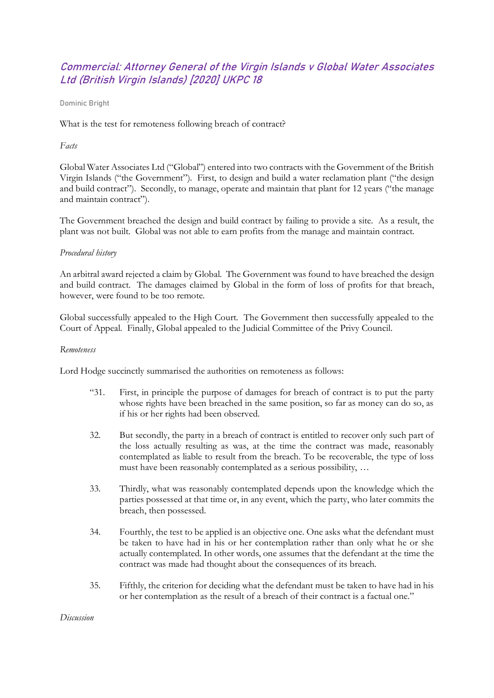# Commercial: Attorney General of the Virgin Islands v Global Water Associates Ltd (British Virgin Islands) [2020] UKPC 18

Dominic Bright

What is the test for remoteness following breach of contract?

### *Facts*

Global Water Associates Ltd ("Global") entered into two contracts with the Government of the British Virgin Islands ("the Government"). First, to design and build a water reclamation plant ("the design and build contract"). Secondly, to manage, operate and maintain that plant for 12 years ("the manage and maintain contract").

The Government breached the design and build contract by failing to provide a site. As a result, the plant was not built. Global was not able to earn profits from the manage and maintain contract.

#### *Procedural history*

An arbitral award rejected a claim by Global. The Government was found to have breached the design and build contract. The damages claimed by Global in the form of loss of profits for that breach, however, were found to be too remote.

Global successfully appealed to the High Court. The Government then successfully appealed to the Court of Appeal. Finally, Global appealed to the Judicial Committee of the Privy Council.

#### *Remoteness*

Lord Hodge succinctly summarised the authorities on remoteness as follows:

- "31. First, in principle the purpose of damages for breach of contract is to put the party whose rights have been breached in the same position, so far as money can do so, as if his or her rights had been observed.
- 32. But secondly, the party in a breach of contract is entitled to recover only such part of the loss actually resulting as was, at the time the contract was made, reasonably contemplated as liable to result from the breach. To be recoverable, the type of loss must have been reasonably contemplated as a serious possibility, …
- 33. Thirdly, what was reasonably contemplated depends upon the knowledge which the parties possessed at that time or, in any event, which the party, who later commits the breach, then possessed.
- 34. Fourthly, the test to be applied is an objective one. One asks what the defendant must be taken to have had in his or her contemplation rather than only what he or she actually contemplated. In other words, one assumes that the defendant at the time the contract was made had thought about the consequences of its breach.
- 35. Fifthly, the criterion for deciding what the defendant must be taken to have had in his or her contemplation as the result of a breach of their contract is a factual one."

*Discussion*